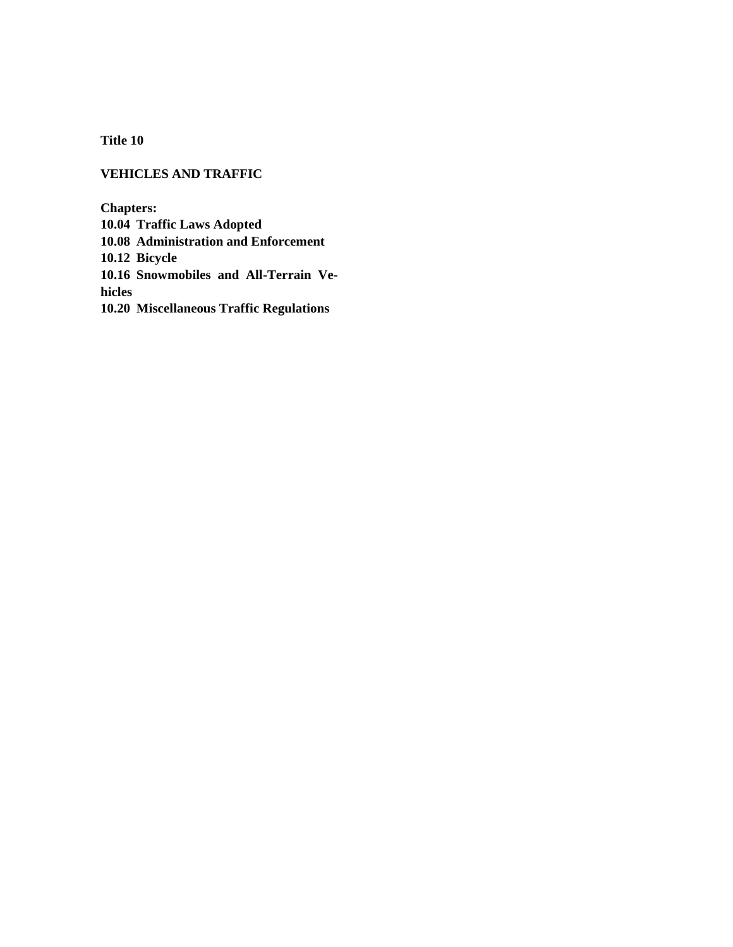**Title 10**

## **VEHICLES AND TRAFFIC**

**Chapters:**

**10.04 Traffic Laws Adopted**

**10.08 Administration and Enforcement**

**10.12 Bicycle**

**10.16 Snowmobiles and All-Terrain Vehicles**

**10.20 Miscellaneous Traffic Regulations**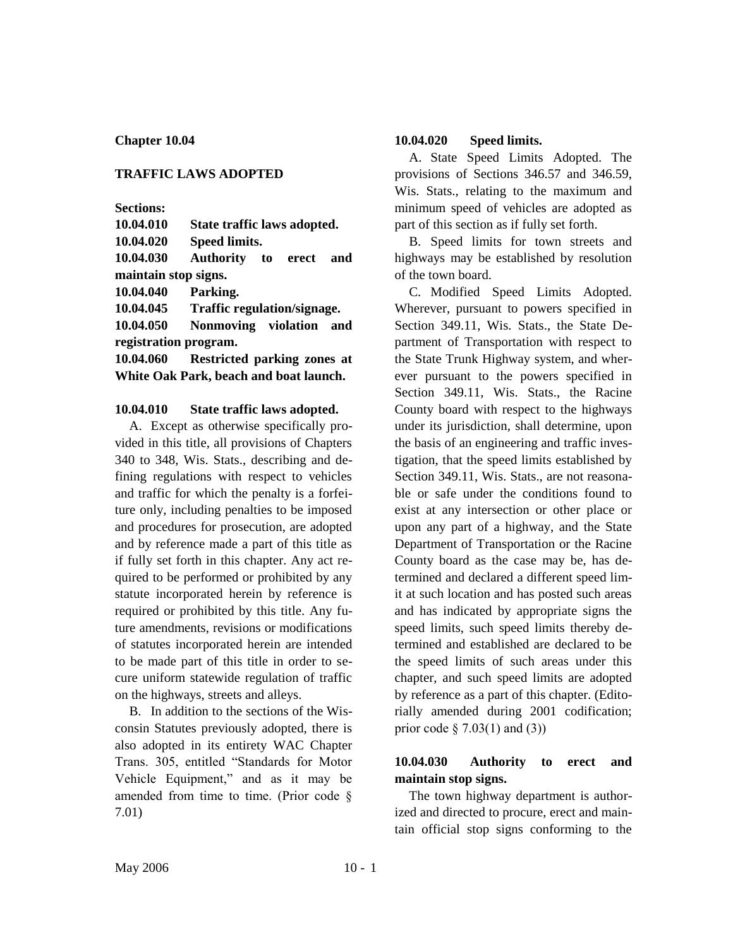### **TRAFFIC LAWS ADOPTED**

**Sections:**

**10.04.010 State traffic laws adopted.**

**10.04.020 Speed limits.**

**10.04.030 Authority to erect and maintain stop signs.**

**10.04.040 Parking.**

**10.04.045 Traffic regulation/signage.**

**10.04.050 Nonmoving violation and registration program.**

**10.04.060 Restricted parking zones at White Oak Park, beach and boat launch.**

#### **10.04.010 State traffic laws adopted.**

A. Except as otherwise specifically provided in this title, all provisions of Chapters 340 to 348, Wis. Stats., describing and defining regulations with respect to vehicles and traffic for which the penalty is a forfeiture only, including penalties to be imposed and procedures for prosecution, are adopted and by reference made a part of this title as if fully set forth in this chapter. Any act required to be performed or prohibited by any statute incorporated herein by reference is required or prohibited by this title. Any future amendments, revisions or modifications of statutes incorporated herein are intended to be made part of this title in order to secure uniform statewide regulation of traffic on the highways, streets and alleys.

B. In addition to the sections of the Wisconsin Statutes previously adopted, there is also adopted in its entirety WAC Chapter Trans. 305, entitled "Standards for Motor Vehicle Equipment," and as it may be amended from time to time. (Prior code § 7.01)

#### **10.04.020 Speed limits.**

A. State Speed Limits Adopted. The provisions of Sections 346.57 and 346.59, Wis. Stats., relating to the maximum and minimum speed of vehicles are adopted as part of this section as if fully set forth.

B. Speed limits for town streets and highways may be established by resolution of the town board.

C. Modified Speed Limits Adopted. Wherever, pursuant to powers specified in Section 349.11, Wis. Stats., the State Department of Transportation with respect to the State Trunk Highway system, and wherever pursuant to the powers specified in Section 349.11, Wis. Stats., the Racine County board with respect to the highways under its jurisdiction, shall determine, upon the basis of an engineering and traffic investigation, that the speed limits established by Section 349.11, Wis. Stats., are not reasonable or safe under the conditions found to exist at any intersection or other place or upon any part of a highway, and the State Department of Transportation or the Racine County board as the case may be, has determined and declared a different speed limit at such location and has posted such areas and has indicated by appropriate signs the speed limits, such speed limits thereby determined and established are declared to be the speed limits of such areas under this chapter, and such speed limits are adopted by reference as a part of this chapter. (Editorially amended during 2001 codification; prior code  $\S$  7.03(1) and (3))

# **10.04.030 Authority to erect and maintain stop signs.**

The town highway department is authorized and directed to procure, erect and maintain official stop signs conforming to the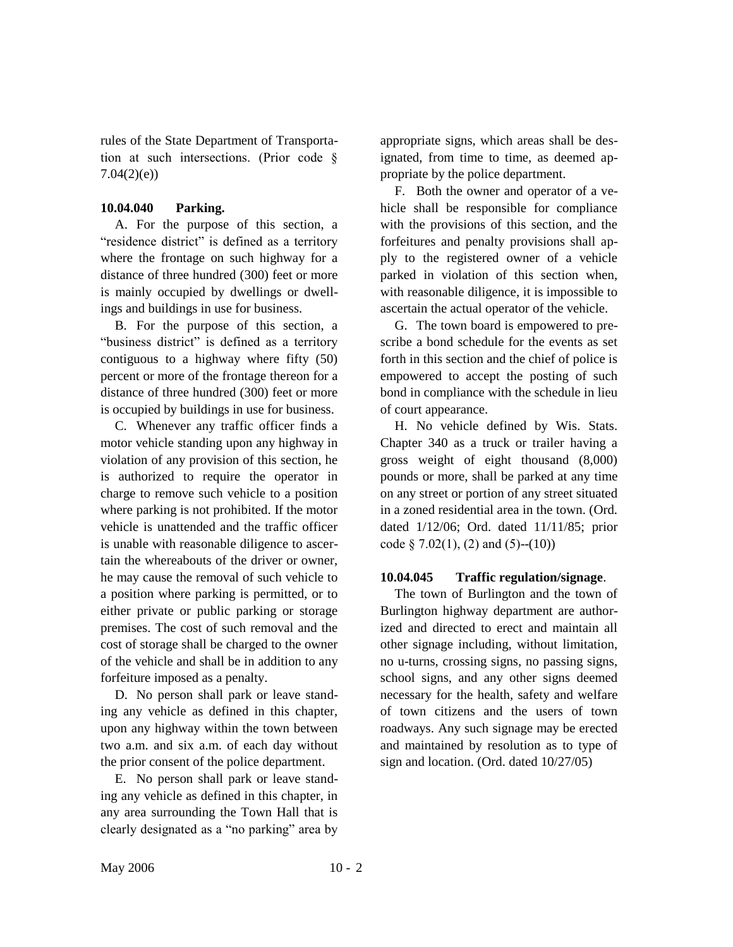rules of the State Department of Transportation at such intersections. (Prior code § 7.04(2)(e))

### **10.04.040 Parking.**

A. For the purpose of this section, a "residence district" is defined as a territory where the frontage on such highway for a distance of three hundred (300) feet or more is mainly occupied by dwellings or dwellings and buildings in use for business.

B. For the purpose of this section, a "business district" is defined as a territory contiguous to a highway where fifty (50) percent or more of the frontage thereon for a distance of three hundred (300) feet or more is occupied by buildings in use for business.

C. Whenever any traffic officer finds a motor vehicle standing upon any highway in violation of any provision of this section, he is authorized to require the operator in charge to remove such vehicle to a position where parking is not prohibited. If the motor vehicle is unattended and the traffic officer is unable with reasonable diligence to ascertain the whereabouts of the driver or owner, he may cause the removal of such vehicle to a position where parking is permitted, or to either private or public parking or storage premises. The cost of such removal and the cost of storage shall be charged to the owner of the vehicle and shall be in addition to any forfeiture imposed as a penalty.

D. No person shall park or leave standing any vehicle as defined in this chapter, upon any highway within the town between two a.m. and six a.m. of each day without the prior consent of the police department.

E. No person shall park or leave standing any vehicle as defined in this chapter, in any area surrounding the Town Hall that is clearly designated as a "no parking" area by

appropriate signs, which areas shall be designated, from time to time, as deemed appropriate by the police department.

F. Both the owner and operator of a vehicle shall be responsible for compliance with the provisions of this section, and the forfeitures and penalty provisions shall apply to the registered owner of a vehicle parked in violation of this section when, with reasonable diligence, it is impossible to ascertain the actual operator of the vehicle.

G. The town board is empowered to prescribe a bond schedule for the events as set forth in this section and the chief of police is empowered to accept the posting of such bond in compliance with the schedule in lieu of court appearance.

H. No vehicle defined by Wis. Stats. Chapter 340 as a truck or trailer having a gross weight of eight thousand (8,000) pounds or more, shall be parked at any time on any street or portion of any street situated in a zoned residential area in the town. (Ord. dated 1/12/06; Ord. dated 11/11/85; prior code § 7.02(1), (2) and  $(5)$ --(10))

#### **10.04.045 Traffic regulation/signage**.

The town of Burlington and the town of Burlington highway department are authorized and directed to erect and maintain all other signage including, without limitation, no u-turns, crossing signs, no passing signs, school signs, and any other signs deemed necessary for the health, safety and welfare of town citizens and the users of town roadways. Any such signage may be erected and maintained by resolution as to type of sign and location. (Ord. dated 10/27/05)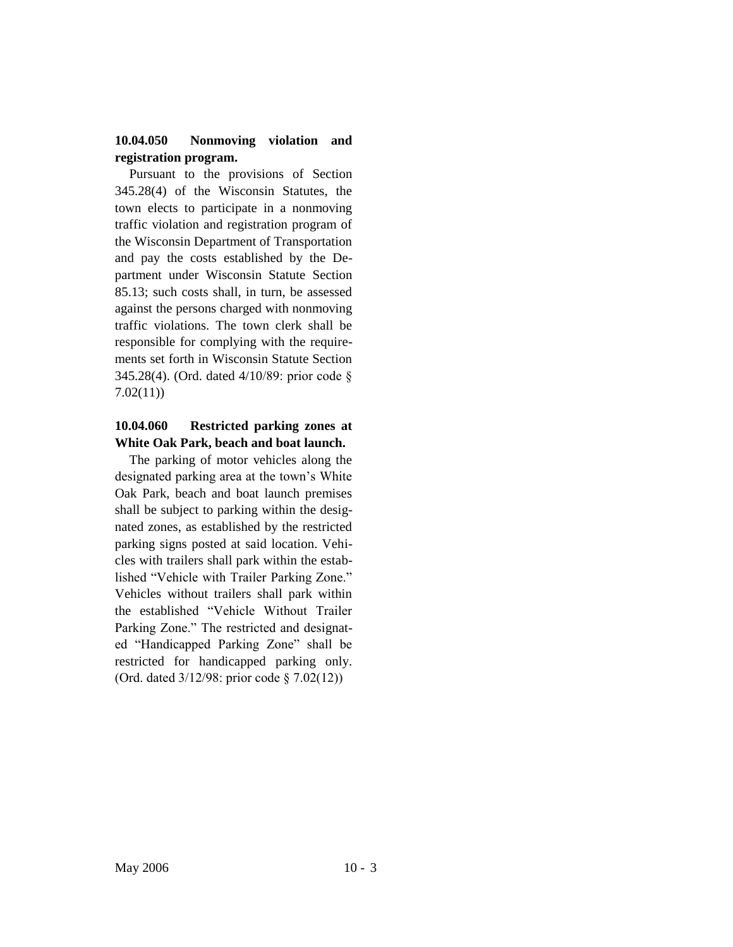## **10.04.050 Nonmoving violation and registration program.**

Pursuant to the provisions of Section 345.28(4) of the Wisconsin Statutes, the town elects to participate in a nonmoving traffic violation and registration program of the Wisconsin Department of Transportation and pay the costs established by the Department under Wisconsin Statute Section 85.13; such costs shall, in turn, be assessed against the persons charged with nonmoving traffic violations. The town clerk shall be responsible for complying with the requirements set forth in Wisconsin Statute Section 345.28(4). (Ord. dated 4/10/89: prior code § 7.02(11))

## **10.04.060 Restricted parking zones at White Oak Park, beach and boat launch.**

The parking of motor vehicles along the designated parking area at the town's White Oak Park, beach and boat launch premises shall be subject to parking within the designated zones, as established by the restricted parking signs posted at said location. Vehicles with trailers shall park within the established "Vehicle with Trailer Parking Zone." Vehicles without trailers shall park within the established "Vehicle Without Trailer Parking Zone." The restricted and designated "Handicapped Parking Zone" shall be restricted for handicapped parking only. (Ord. dated 3/12/98: prior code § 7.02(12))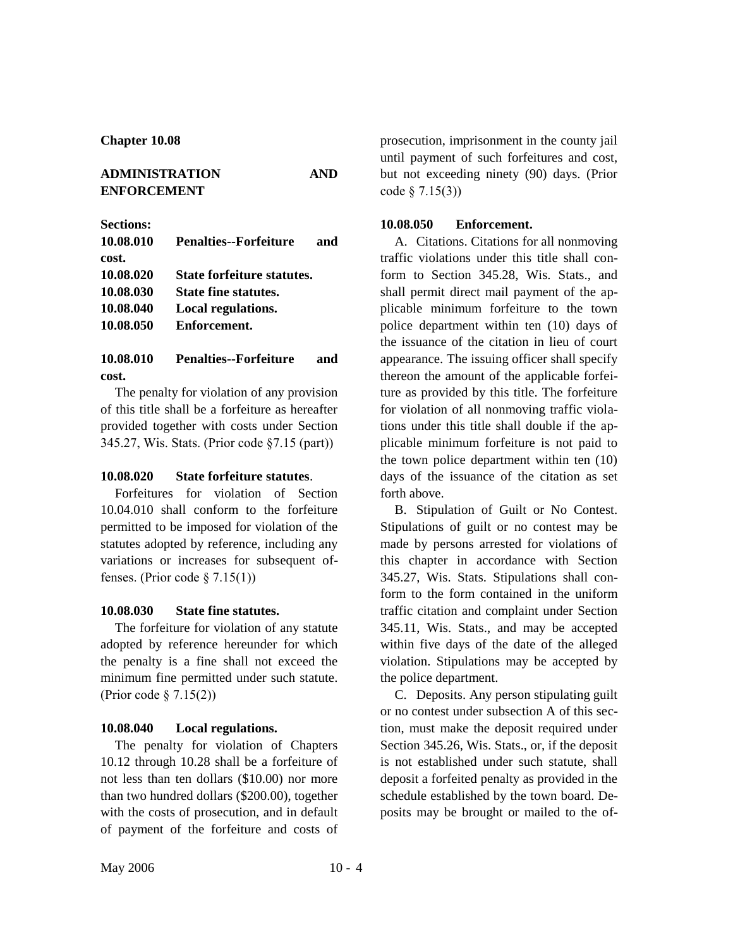## **ADMINISTRATION AND ENFORCEMENT**

**Sections:**

| 10.08.010 | <b>Penalties--Forfeiture</b> | and |
|-----------|------------------------------|-----|
| cost.     |                              |     |
| 10.08.020 | State forfeiture statutes.   |     |
| 10.08.030 | <b>State fine statutes.</b>  |     |
| 10.08.040 | Local regulations.           |     |
| 10.08.050 | Enforcement.                 |     |

**10.08.010 Penalties--Forfeiture and cost.**

The penalty for violation of any provision of this title shall be a forfeiture as hereafter provided together with costs under Section 345.27, Wis. Stats. (Prior code §7.15 (part))

### **10.08.020 State forfeiture statutes**.

Forfeitures for violation of Section 10.04.010 shall conform to the forfeiture permitted to be imposed for violation of the statutes adopted by reference, including any variations or increases for subsequent offenses. (Prior code  $\S$  7.15(1))

## **10.08.030 State fine statutes.**

The forfeiture for violation of any statute adopted by reference hereunder for which the penalty is a fine shall not exceed the minimum fine permitted under such statute. (Prior code § 7.15(2))

## **10.08.040 Local regulations.**

The penalty for violation of Chapters 10.12 through 10.28 shall be a forfeiture of not less than ten dollars (\$10.00) nor more than two hundred dollars (\$200.00), together with the costs of prosecution, and in default of payment of the forfeiture and costs of prosecution, imprisonment in the county jail until payment of such forfeitures and cost, but not exceeding ninety (90) days. (Prior code § 7.15(3))

### **10.08.050 Enforcement.**

A. Citations. Citations for all nonmoving traffic violations under this title shall conform to Section 345.28, Wis. Stats., and shall permit direct mail payment of the applicable minimum forfeiture to the town police department within ten (10) days of the issuance of the citation in lieu of court appearance. The issuing officer shall specify thereon the amount of the applicable forfeiture as provided by this title. The forfeiture for violation of all nonmoving traffic violations under this title shall double if the applicable minimum forfeiture is not paid to the town police department within ten (10) days of the issuance of the citation as set forth above.

B. Stipulation of Guilt or No Contest. Stipulations of guilt or no contest may be made by persons arrested for violations of this chapter in accordance with Section 345.27, Wis. Stats. Stipulations shall conform to the form contained in the uniform traffic citation and complaint under Section 345.11, Wis. Stats., and may be accepted within five days of the date of the alleged violation. Stipulations may be accepted by the police department.

C. Deposits. Any person stipulating guilt or no contest under subsection A of this section, must make the deposit required under Section 345.26, Wis. Stats., or, if the deposit is not established under such statute, shall deposit a forfeited penalty as provided in the schedule established by the town board. Deposits may be brought or mailed to the of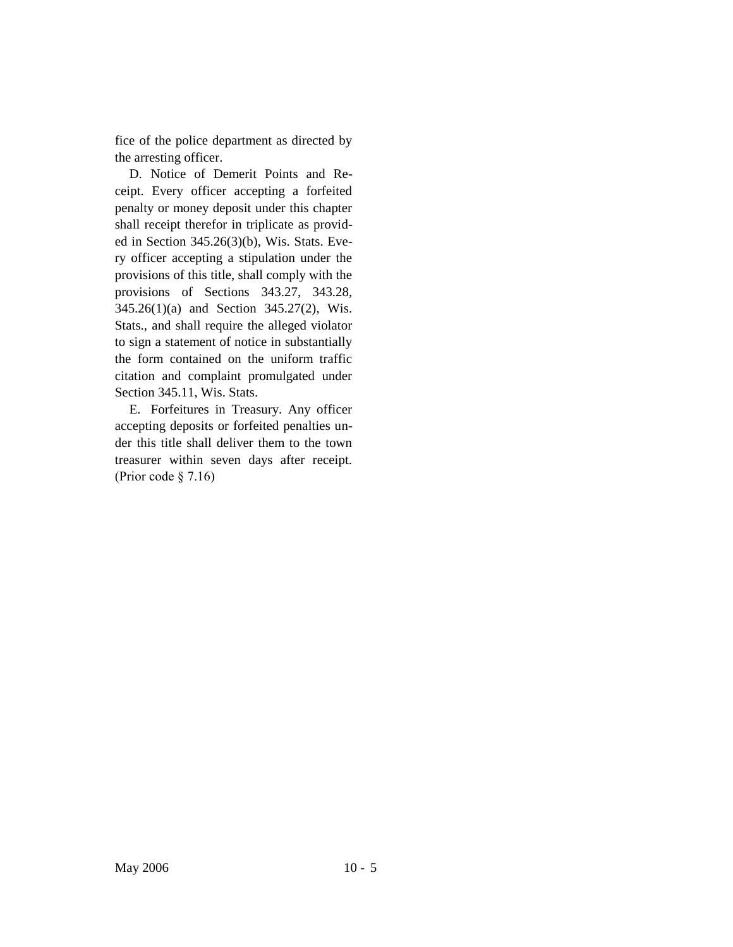fice of the police department as directed by the arresting officer.

D. Notice of Demerit Points and Receipt. Every officer accepting a forfeited penalty or money deposit under this chapter shall receipt therefor in triplicate as provided in Section 345.26(3)(b), Wis. Stats. Every officer accepting a stipulation under the provisions of this title, shall comply with the provisions of Sections 343.27, 343.28, 345.26(1)(a) and Section 345.27(2), Wis. Stats., and shall require the alleged violator to sign a statement of notice in substantially the form contained on the uniform traffic citation and complaint promulgated under Section 345.11, Wis. Stats.

E. Forfeitures in Treasury. Any officer accepting deposits or forfeited penalties under this title shall deliver them to the town treasurer within seven days after receipt. (Prior code § 7.16)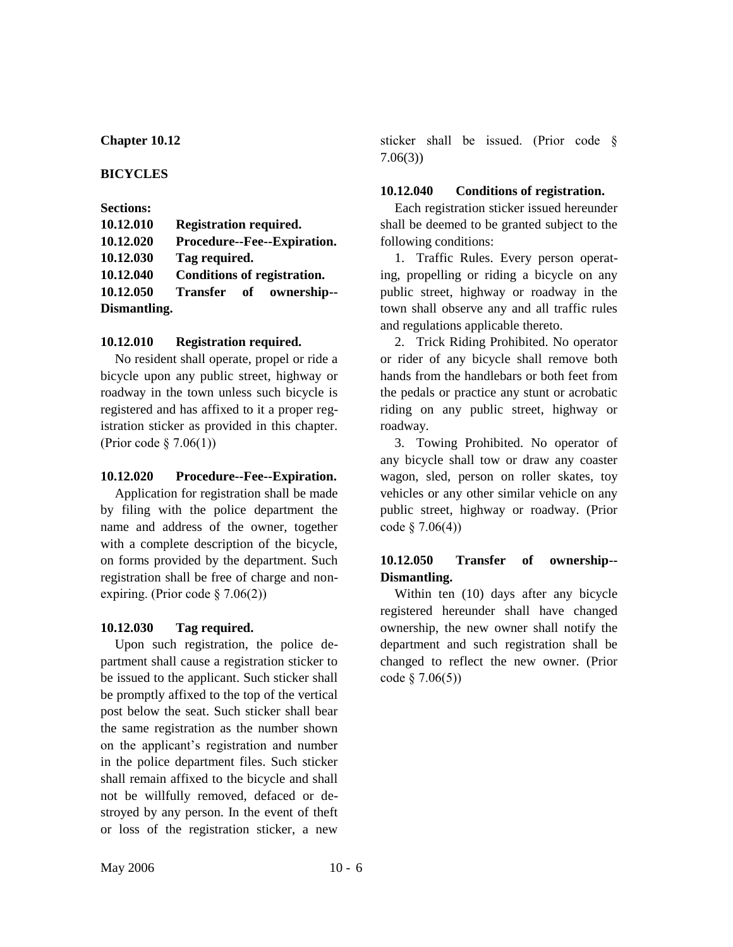### **BICYCLES**

| <b>Sections:</b> |                               |  |
|------------------|-------------------------------|--|
| 10.12.010        | <b>Registration required.</b> |  |
| 10.12.020        | Procedure--Fee--Expiration.   |  |
| 10.12.030        | Tag required.                 |  |
| 10.12.040        | Conditions of registration.   |  |
| 10.12.050        | Transfer of ownership--       |  |
| Dismantling.     |                               |  |

## **10.12.010 Registration required.**

No resident shall operate, propel or ride a bicycle upon any public street, highway or roadway in the town unless such bicycle is registered and has affixed to it a proper registration sticker as provided in this chapter. (Prior code § 7.06(1))

## **10.12.020 Procedure--Fee--Expiration.**

Application for registration shall be made by filing with the police department the name and address of the owner, together with a complete description of the bicycle, on forms provided by the department. Such registration shall be free of charge and nonexpiring. (Prior code § 7.06(2))

# **10.12.030 Tag required.**

Upon such registration, the police department shall cause a registration sticker to be issued to the applicant. Such sticker shall be promptly affixed to the top of the vertical post below the seat. Such sticker shall bear the same registration as the number shown on the applicant's registration and number in the police department files. Such sticker shall remain affixed to the bicycle and shall not be willfully removed, defaced or destroyed by any person. In the event of theft or loss of the registration sticker, a new

sticker shall be issued. (Prior code § 7.06(3))

## **10.12.040 Conditions of registration.**

Each registration sticker issued hereunder shall be deemed to be granted subject to the following conditions:

1. Traffic Rules. Every person operating, propelling or riding a bicycle on any public street, highway or roadway in the town shall observe any and all traffic rules and regulations applicable thereto.

2. Trick Riding Prohibited. No operator or rider of any bicycle shall remove both hands from the handlebars or both feet from the pedals or practice any stunt or acrobatic riding on any public street, highway or roadway.

3. Towing Prohibited. No operator of any bicycle shall tow or draw any coaster wagon, sled, person on roller skates, toy vehicles or any other similar vehicle on any public street, highway or roadway. (Prior  $code \, § \, 7.06(4))$ 

# **10.12.050 Transfer of ownership-- Dismantling.**

Within ten (10) days after any bicycle registered hereunder shall have changed ownership, the new owner shall notify the department and such registration shall be changed to reflect the new owner. (Prior code § 7.06(5))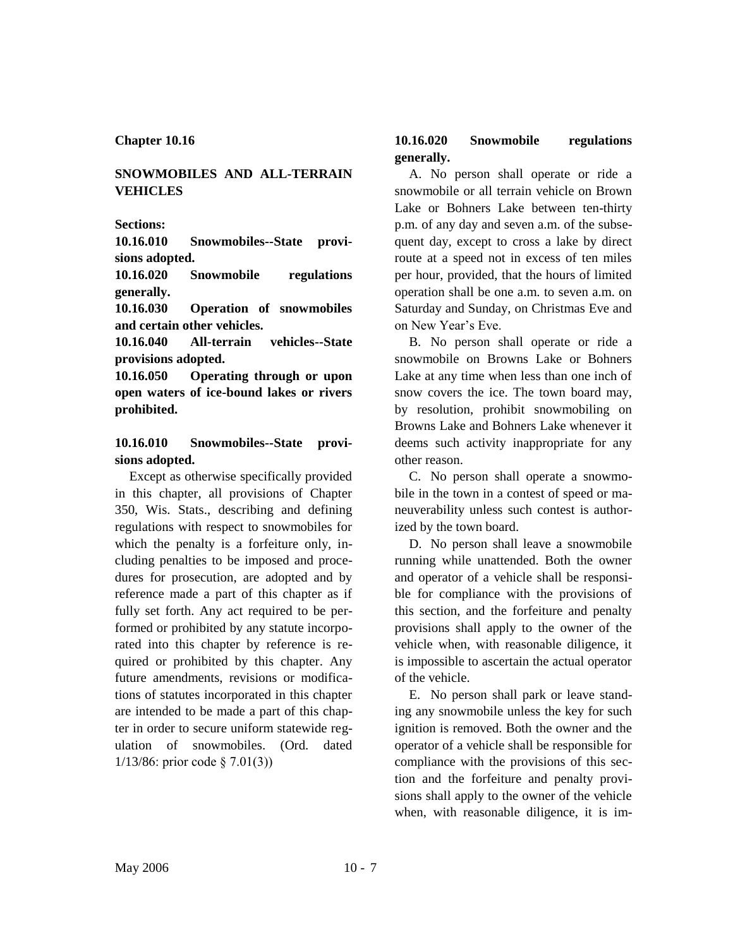## **SNOWMOBILES AND ALL-TERRAIN VEHICLES**

#### **Sections:**

**10.16.010 Snowmobiles--State provisions adopted.**

**10.16.020 Snowmobile regulations generally.**

**10.16.030 Operation of snowmobiles and certain other vehicles.**

**10.16.040 All-terrain vehicles--State provisions adopted.**

**10.16.050 Operating through or upon open waters of ice-bound lakes or rivers prohibited.**

## **10.16.010 Snowmobiles--State provisions adopted.**

Except as otherwise specifically provided in this chapter, all provisions of Chapter 350, Wis. Stats., describing and defining regulations with respect to snowmobiles for which the penalty is a forfeiture only, including penalties to be imposed and procedures for prosecution, are adopted and by reference made a part of this chapter as if fully set forth. Any act required to be performed or prohibited by any statute incorporated into this chapter by reference is required or prohibited by this chapter. Any future amendments, revisions or modifications of statutes incorporated in this chapter are intended to be made a part of this chapter in order to secure uniform statewide regulation of snowmobiles. (Ord. dated 1/13/86: prior code § 7.01(3))

## **10.16.020 Snowmobile regulations generally.**

A. No person shall operate or ride a snowmobile or all terrain vehicle on Brown Lake or Bohners Lake between ten-thirty p.m. of any day and seven a.m. of the subsequent day, except to cross a lake by direct route at a speed not in excess of ten miles per hour, provided, that the hours of limited operation shall be one a.m. to seven a.m. on Saturday and Sunday, on Christmas Eve and on New Year's Eve.

B. No person shall operate or ride a snowmobile on Browns Lake or Bohners Lake at any time when less than one inch of snow covers the ice. The town board may, by resolution, prohibit snowmobiling on Browns Lake and Bohners Lake whenever it deems such activity inappropriate for any other reason.

C. No person shall operate a snowmobile in the town in a contest of speed or maneuverability unless such contest is authorized by the town board.

D. No person shall leave a snowmobile running while unattended. Both the owner and operator of a vehicle shall be responsible for compliance with the provisions of this section, and the forfeiture and penalty provisions shall apply to the owner of the vehicle when, with reasonable diligence, it is impossible to ascertain the actual operator of the vehicle.

E. No person shall park or leave standing any snowmobile unless the key for such ignition is removed. Both the owner and the operator of a vehicle shall be responsible for compliance with the provisions of this section and the forfeiture and penalty provisions shall apply to the owner of the vehicle when, with reasonable diligence, it is im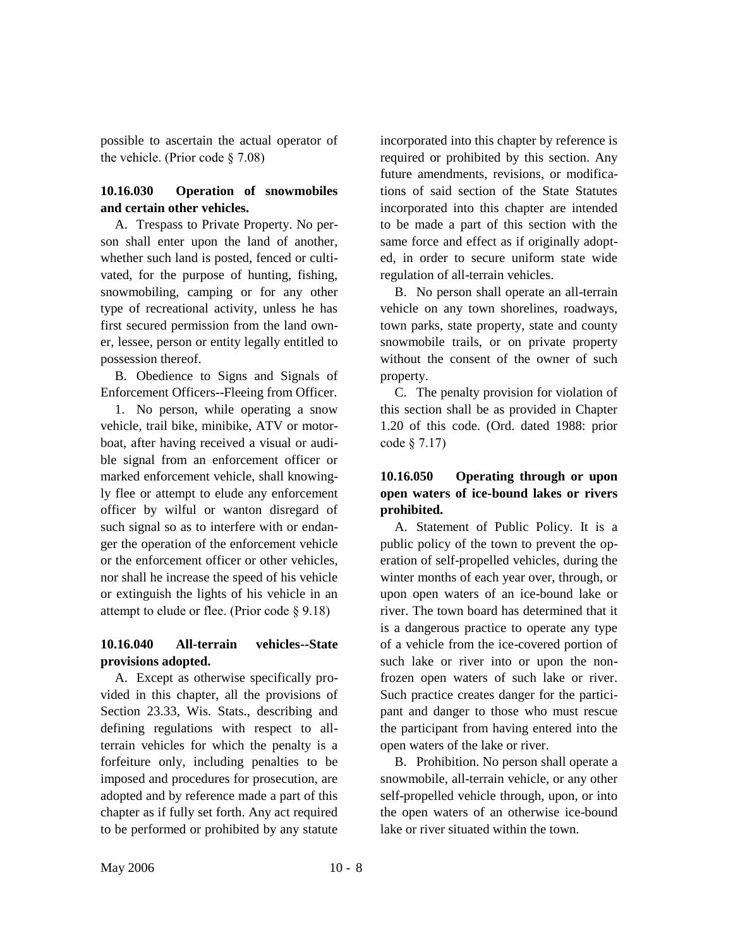possible to ascertain the actual operator of the vehicle. (Prior code § 7.08)

# **10.16.030 Operation of snowmobiles and certain other vehicles.**

A. Trespass to Private Property. No person shall enter upon the land of another, whether such land is posted, fenced or cultivated, for the purpose of hunting, fishing, snowmobiling, camping or for any other type of recreational activity, unless he has first secured permission from the land owner, lessee, person or entity legally entitled to possession thereof.

B. Obedience to Signs and Signals of Enforcement Officers--Fleeing from Officer.

1. No person, while operating a snow vehicle, trail bike, minibike, ATV or motorboat, after having received a visual or audible signal from an enforcement officer or marked enforcement vehicle, shall knowingly flee or attempt to elude any enforcement officer by wilful or wanton disregard of such signal so as to interfere with or endanger the operation of the enforcement vehicle or the enforcement officer or other vehicles, nor shall he increase the speed of his vehicle or extinguish the lights of his vehicle in an attempt to elude or flee. (Prior code § 9.18)

# **10.16.040 All-terrain vehicles--State provisions adopted.**

A. Except as otherwise specifically provided in this chapter, all the provisions of Section 23.33, Wis. Stats., describing and defining regulations with respect to allterrain vehicles for which the penalty is a forfeiture only, including penalties to be imposed and procedures for prosecution, are adopted and by reference made a part of this chapter as if fully set forth. Any act required to be performed or prohibited by any statute

incorporated into this chapter by reference is required or prohibited by this section. Any future amendments, revisions, or modifications of said section of the State Statutes incorporated into this chapter are intended to be made a part of this section with the same force and effect as if originally adopted, in order to secure uniform state wide regulation of all-terrain vehicles.

B. No person shall operate an all-terrain vehicle on any town shorelines, roadways, town parks, state property, state and county snowmobile trails, or on private property without the consent of the owner of such property.

C. The penalty provision for violation of this section shall be as provided in Chapter 1.20 of this code. (Ord. dated 1988: prior code § 7.17)

# **10.16.050 Operating through or upon open waters of ice-bound lakes or rivers prohibited.**

A. Statement of Public Policy. It is a public policy of the town to prevent the operation of self-propelled vehicles, during the winter months of each year over, through, or upon open waters of an ice-bound lake or river. The town board has determined that it is a dangerous practice to operate any type of a vehicle from the ice-covered portion of such lake or river into or upon the nonfrozen open waters of such lake or river. Such practice creates danger for the participant and danger to those who must rescue the participant from having entered into the open waters of the lake or river.

B. Prohibition. No person shall operate a snowmobile, all-terrain vehicle, or any other self-propelled vehicle through, upon, or into the open waters of an otherwise ice-bound lake or river situated within the town.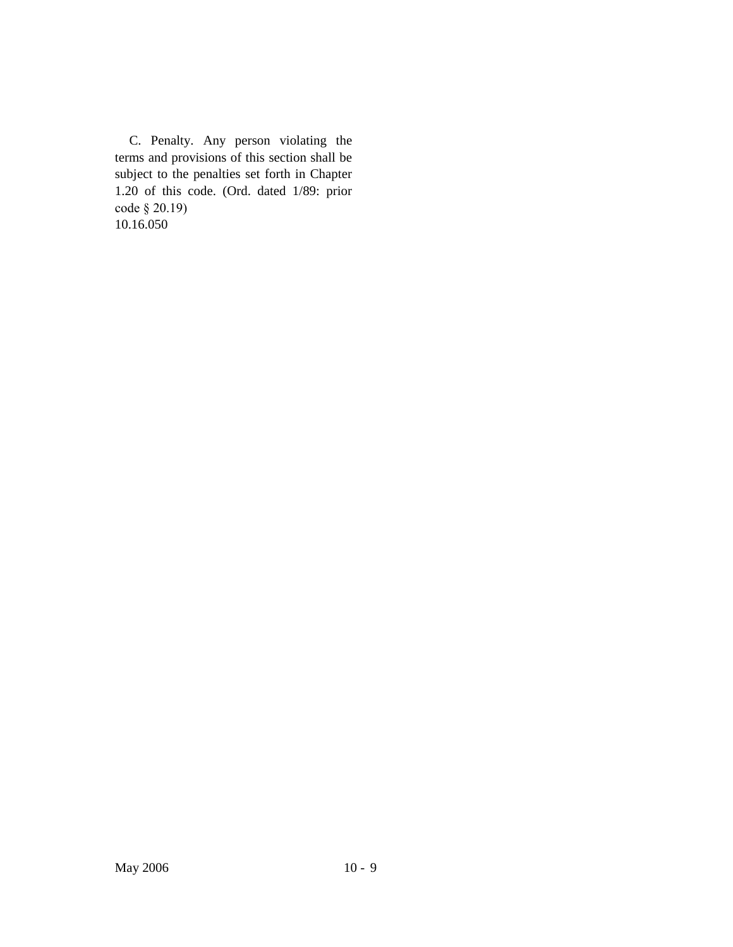C. Penalty. Any person violating the terms and provisions of this section shall be subject to the penalties set forth in Chapter 1.20 of this code. (Ord. dated 1/89: prior code § 20.19) 10.16.050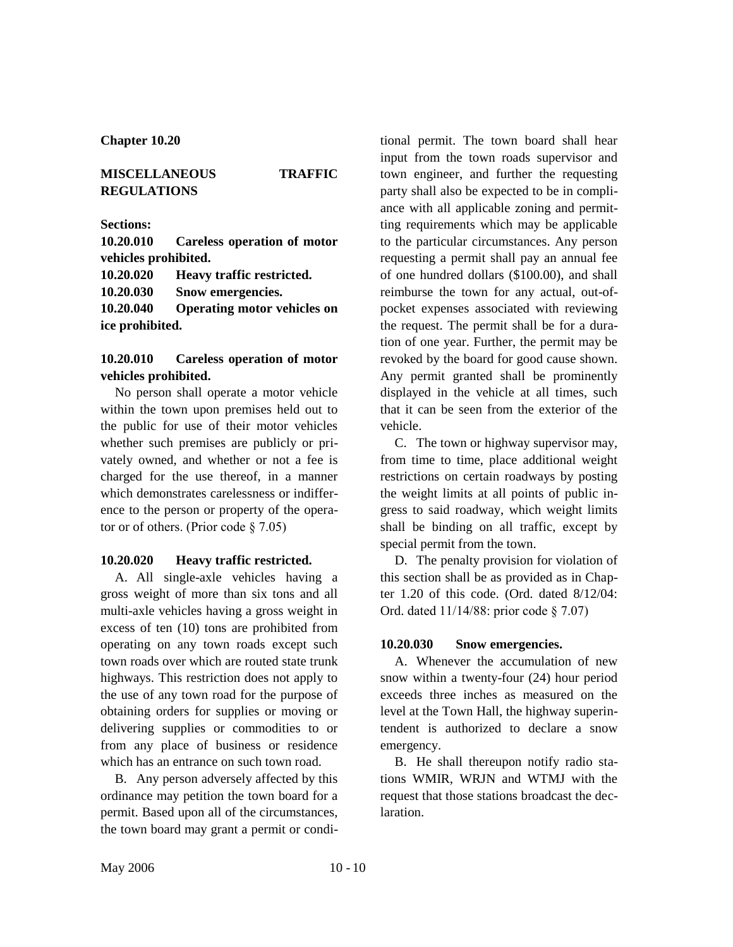## **MISCELLANEOUS TRAFFIC REGULATIONS**

**Sections:**

**10.20.010 Careless operation of motor vehicles prohibited.**

**10.20.020 Heavy traffic restricted.**

**10.20.030 Snow emergencies.**

**10.20.040 Operating motor vehicles on ice prohibited.**

## **10.20.010 Careless operation of motor vehicles prohibited.**

No person shall operate a motor vehicle within the town upon premises held out to the public for use of their motor vehicles whether such premises are publicly or privately owned, and whether or not a fee is charged for the use thereof, in a manner which demonstrates carelessness or indifference to the person or property of the operator or of others. (Prior code § 7.05)

#### **10.20.020 Heavy traffic restricted.**

A. All single-axle vehicles having a gross weight of more than six tons and all multi-axle vehicles having a gross weight in excess of ten (10) tons are prohibited from operating on any town roads except such town roads over which are routed state trunk highways. This restriction does not apply to the use of any town road for the purpose of obtaining orders for supplies or moving or delivering supplies or commodities to or from any place of business or residence which has an entrance on such town road.

B. Any person adversely affected by this ordinance may petition the town board for a permit. Based upon all of the circumstances, the town board may grant a permit or conditional permit. The town board shall hear input from the town roads supervisor and town engineer, and further the requesting party shall also be expected to be in compliance with all applicable zoning and permitting requirements which may be applicable to the particular circumstances. Any person requesting a permit shall pay an annual fee of one hundred dollars (\$100.00), and shall reimburse the town for any actual, out-ofpocket expenses associated with reviewing the request. The permit shall be for a duration of one year. Further, the permit may be revoked by the board for good cause shown. Any permit granted shall be prominently displayed in the vehicle at all times, such that it can be seen from the exterior of the vehicle.

C. The town or highway supervisor may, from time to time, place additional weight restrictions on certain roadways by posting the weight limits at all points of public ingress to said roadway, which weight limits shall be binding on all traffic, except by special permit from the town.

D. The penalty provision for violation of this section shall be as provided as in Chapter 1.20 of this code. (Ord. dated 8/12/04: Ord. dated 11/14/88: prior code § 7.07)

#### **10.20.030 Snow emergencies.**

A. Whenever the accumulation of new snow within a twenty-four (24) hour period exceeds three inches as measured on the level at the Town Hall, the highway superintendent is authorized to declare a snow emergency.

B. He shall thereupon notify radio stations WMIR, WRJN and WTMJ with the request that those stations broadcast the declaration.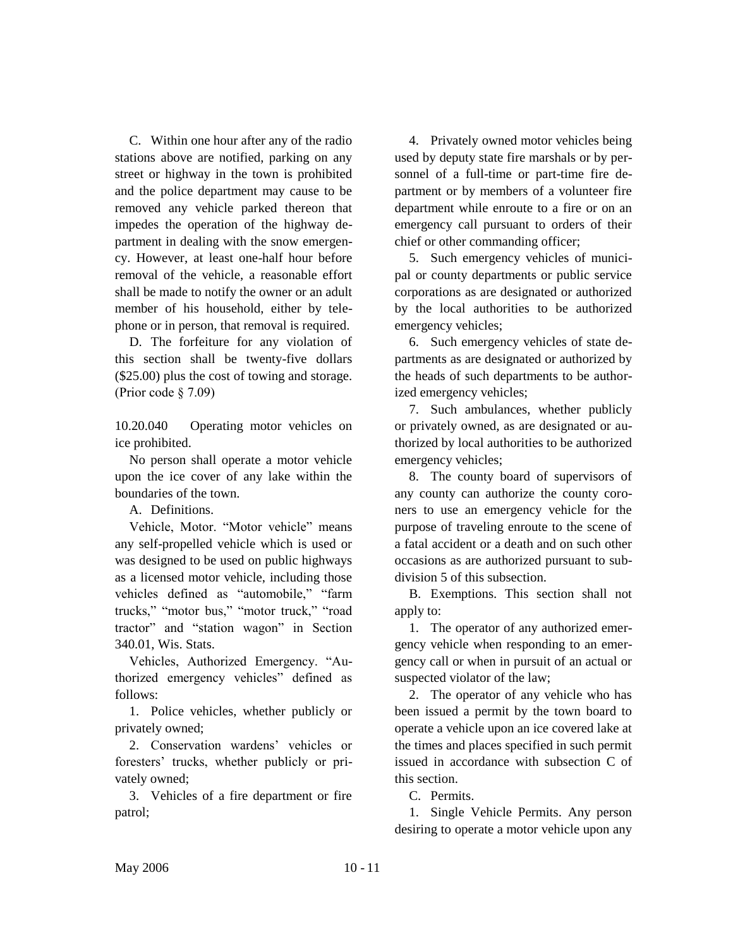C. Within one hour after any of the radio stations above are notified, parking on any street or highway in the town is prohibited and the police department may cause to be removed any vehicle parked thereon that impedes the operation of the highway department in dealing with the snow emergency. However, at least one-half hour before removal of the vehicle, a reasonable effort shall be made to notify the owner or an adult member of his household, either by telephone or in person, that removal is required.

D. The forfeiture for any violation of this section shall be twenty-five dollars (\$25.00) plus the cost of towing and storage. (Prior code § 7.09)

10.20.040 Operating motor vehicles on ice prohibited.

No person shall operate a motor vehicle upon the ice cover of any lake within the boundaries of the town.

A. Definitions.

Vehicle, Motor. "Motor vehicle" means any self-propelled vehicle which is used or was designed to be used on public highways as a licensed motor vehicle, including those vehicles defined as "automobile," "farm trucks," "motor bus," "motor truck," "road tractor" and "station wagon" in Section 340.01, Wis. Stats.

Vehicles, Authorized Emergency. "Authorized emergency vehicles" defined as follows:

1. Police vehicles, whether publicly or privately owned;

2. Conservation wardens' vehicles or foresters' trucks, whether publicly or privately owned;

3. Vehicles of a fire department or fire patrol;

4. Privately owned motor vehicles being used by deputy state fire marshals or by personnel of a full-time or part-time fire department or by members of a volunteer fire department while enroute to a fire or on an emergency call pursuant to orders of their chief or other commanding officer;

5. Such emergency vehicles of municipal or county departments or public service corporations as are designated or authorized by the local authorities to be authorized emergency vehicles;

6. Such emergency vehicles of state departments as are designated or authorized by the heads of such departments to be authorized emergency vehicles;

7. Such ambulances, whether publicly or privately owned, as are designated or authorized by local authorities to be authorized emergency vehicles;

8. The county board of supervisors of any county can authorize the county coroners to use an emergency vehicle for the purpose of traveling enroute to the scene of a fatal accident or a death and on such other occasions as are authorized pursuant to subdivision 5 of this subsection.

B. Exemptions. This section shall not apply to:

1. The operator of any authorized emergency vehicle when responding to an emergency call or when in pursuit of an actual or suspected violator of the law;

2. The operator of any vehicle who has been issued a permit by the town board to operate a vehicle upon an ice covered lake at the times and places specified in such permit issued in accordance with subsection C of this section.

C. Permits.

1. Single Vehicle Permits. Any person desiring to operate a motor vehicle upon any